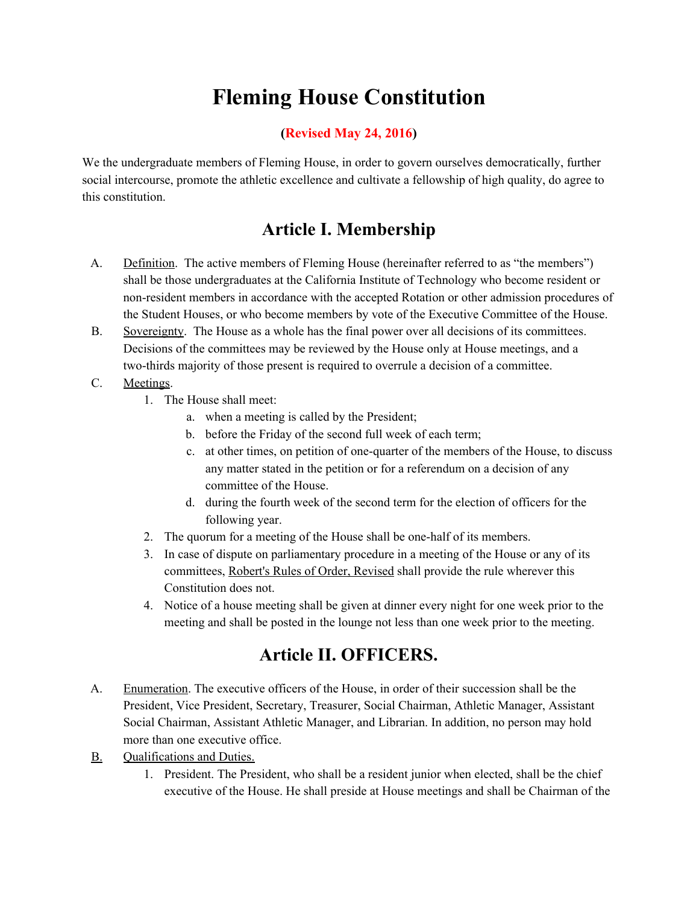# **Fleming House Constitution**

### **(Revised May 24, 2016)**

We the undergraduate members of Fleming House, in order to govern ourselves democratically, further social intercourse, promote the athletic excellence and cultivate a fellowship of high quality, do agree to this constitution.

### **Article I. Membership**

- A. Definition. The active members of Fleming House (hereinafter referred to as "the members") shall be those undergraduates at the California Institute of Technology who become resident or non-resident members in accordance with the accepted Rotation or other admission procedures of the Student Houses, or who become members by vote of the Executive Committee of the House.
- B. Sovereignty. The House as a whole has the final power over all decisions of its committees. Decisions of the committees may be reviewed by the House only at House meetings, and a two-thirds majority of those present is required to overrule a decision of a committee.
- C. Meetings.
	- 1. The House shall meet:
		- a. when a meeting is called by the President;
		- b. before the Friday of the second full week of each term;
		- c. at other times, on petition of one-quarter of the members of the House, to discuss any matter stated in the petition or for a referendum on a decision of any committee of the House.
		- d. during the fourth week of the second term for the election of officers for the following year.
	- 2. The quorum for a meeting of the House shall be one-half of its members.
	- 3. In case of dispute on parliamentary procedure in a meeting of the House or any of its committees, Robert's Rules of Order, Revised shall provide the rule wherever this Constitution does not.
	- 4. Notice of a house meeting shall be given at dinner every night for one week prior to the meeting and shall be posted in the lounge not less than one week prior to the meeting.

### **Article II. OFFICERS.**

- A. Enumeration. The executive officers of the House, in order of their succession shall be the President, Vice President, Secretary, Treasurer, Social Chairman, Athletic Manager, Assistant Social Chairman, Assistant Athletic Manager, and Librarian. In addition, no person may hold more than one executive office.
- B. Qualifications and Duties.
	- 1. President. The President, who shall be a resident junior when elected, shall be the chief executive of the House. He shall preside at House meetings and shall be Chairman of the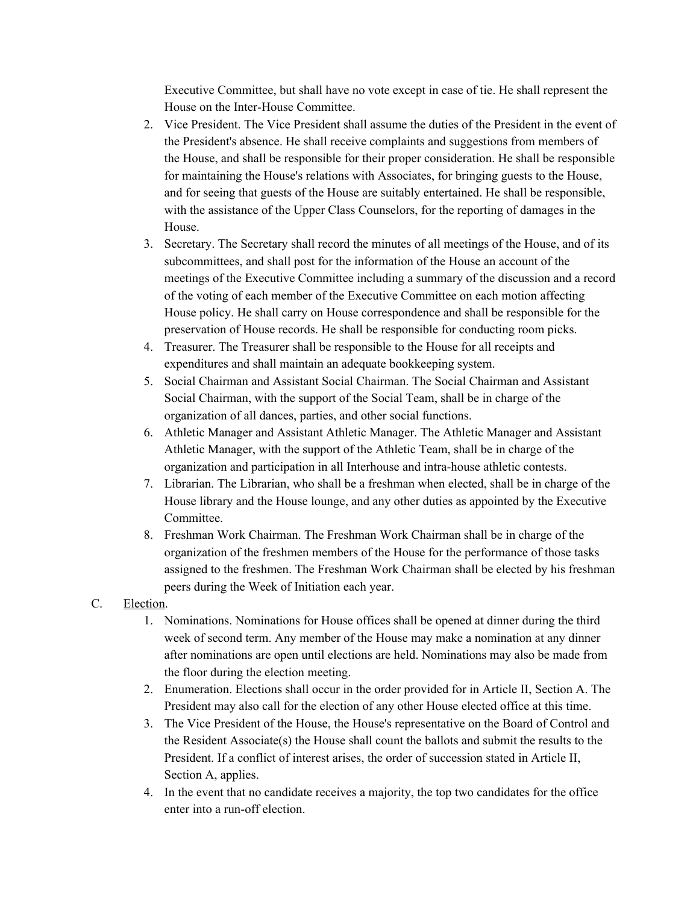Executive Committee, but shall have no vote except in case of tie. He shall represent the House on the Inter-House Committee.

- 2. Vice President. The Vice President shall assume the duties of the President in the event of the President's absence. He shall receive complaints and suggestions from members of the House, and shall be responsible for their proper consideration. He shall be responsible for maintaining the House's relations with Associates, for bringing guests to the House, and for seeing that guests of the House are suitably entertained. He shall be responsible, with the assistance of the Upper Class Counselors, for the reporting of damages in the House.
- 3. Secretary. The Secretary shall record the minutes of all meetings of the House, and of its subcommittees, and shall post for the information of the House an account of the meetings of the Executive Committee including a summary of the discussion and a record of the voting of each member of the Executive Committee on each motion affecting House policy. He shall carry on House correspondence and shall be responsible for the preservation of House records. He shall be responsible for conducting room picks.
- 4. Treasurer. The Treasurer shall be responsible to the House for all receipts and expenditures and shall maintain an adequate bookkeeping system.
- 5. Social Chairman and Assistant Social Chairman. The Social Chairman and Assistant Social Chairman, with the support of the Social Team, shall be in charge of the organization of all dances, parties, and other social functions.
- 6. Athletic Manager and Assistant Athletic Manager. The Athletic Manager and Assistant Athletic Manager, with the support of the Athletic Team, shall be in charge of the organization and participation in all Interhouse and intra-house athletic contests.
- 7. Librarian. The Librarian, who shall be a freshman when elected, shall be in charge of the House library and the House lounge, and any other duties as appointed by the Executive Committee.
- 8. Freshman Work Chairman. The Freshman Work Chairman shall be in charge of the organization of the freshmen members of the House for the performance of those tasks assigned to the freshmen. The Freshman Work Chairman shall be elected by his freshman peers during the Week of Initiation each year.
- C. Election.
	- 1. Nominations. Nominations for House offices shall be opened at dinner during the third week of second term. Any member of the House may make a nomination at any dinner after nominations are open until elections are held. Nominations may also be made from the floor during the election meeting.
	- 2. Enumeration. Elections shall occur in the order provided for in Article II, Section A. The President may also call for the election of any other House elected office at this time.
	- 3. The Vice President of the House, the House's representative on the Board of Control and the Resident Associate(s) the House shall count the ballots and submit the results to the President. If a conflict of interest arises, the order of succession stated in Article II, Section A, applies.
	- 4. In the event that no candidate receives a majority, the top two candidates for the office enter into a run-off election.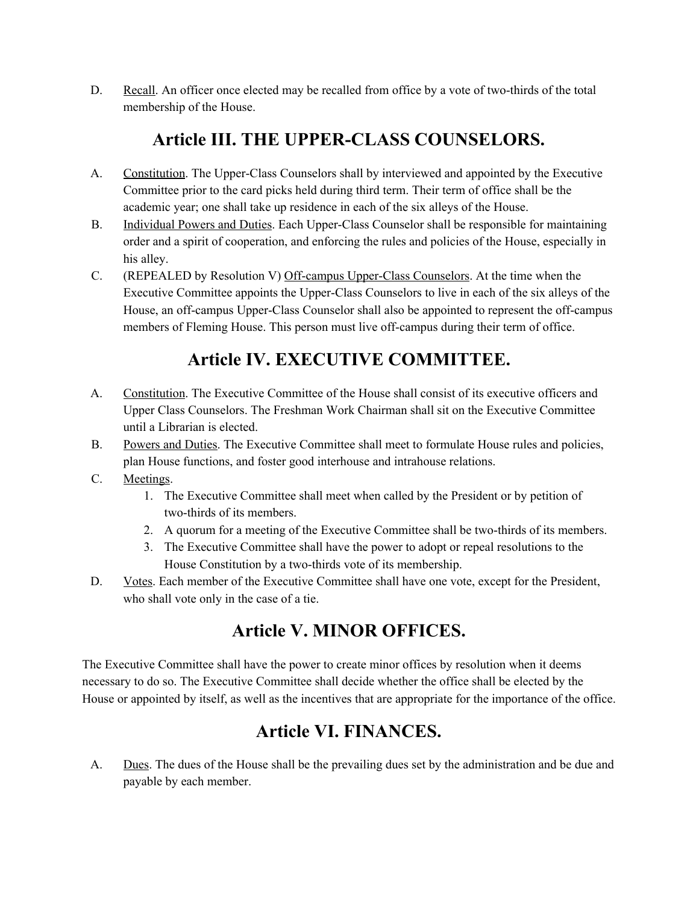D. Recall. An officer once elected may be recalled from office by a vote of two-thirds of the total membership of the House.

# **Article III. THE UPPER-CLASS COUNSELORS.**

- A. Constitution. The Upper-Class Counselors shall by interviewed and appointed by the Executive Committee prior to the card picks held during third term. Their term of office shall be the academic year; one shall take up residence in each of the six alleys of the House.
- B. Individual Powers and Duties. Each Upper-Class Counselor shall be responsible for maintaining order and a spirit of cooperation, and enforcing the rules and policies of the House, especially in his alley.
- C. (REPEALED by Resolution V) Off-campus Upper-Class Counselors. At the time when the Executive Committee appoints the Upper-Class Counselors to live in each of the six alleys of the House, an off-campus Upper-Class Counselor shall also be appointed to represent the off-campus members of Fleming House. This person must live off-campus during their term of office.

# **Article IV. EXECUTIVE COMMITTEE.**

- A. Constitution. The Executive Committee of the House shall consist of its executive officers and Upper Class Counselors. The Freshman Work Chairman shall sit on the Executive Committee until a Librarian is elected.
- B. Powers and Duties. The Executive Committee shall meet to formulate House rules and policies, plan House functions, and foster good interhouse and intrahouse relations.
- C. Meetings.
	- 1. The Executive Committee shall meet when called by the President or by petition of two-thirds of its members.
	- 2. A quorum for a meeting of the Executive Committee shall be two-thirds of its members.
	- 3. The Executive Committee shall have the power to adopt or repeal resolutions to the House Constitution by a two-thirds vote of its membership.
- D. Votes. Each member of the Executive Committee shall have one vote, except for the President, who shall vote only in the case of a tie.

# **Article V. MINOR OFFICES.**

The Executive Committee shall have the power to create minor offices by resolution when it deems necessary to do so. The Executive Committee shall decide whether the office shall be elected by the House or appointed by itself, as well as the incentives that are appropriate for the importance of the office.

# **Article VI. FINANCES.**

A. Dues. The dues of the House shall be the prevailing dues set by the administration and be due and payable by each member.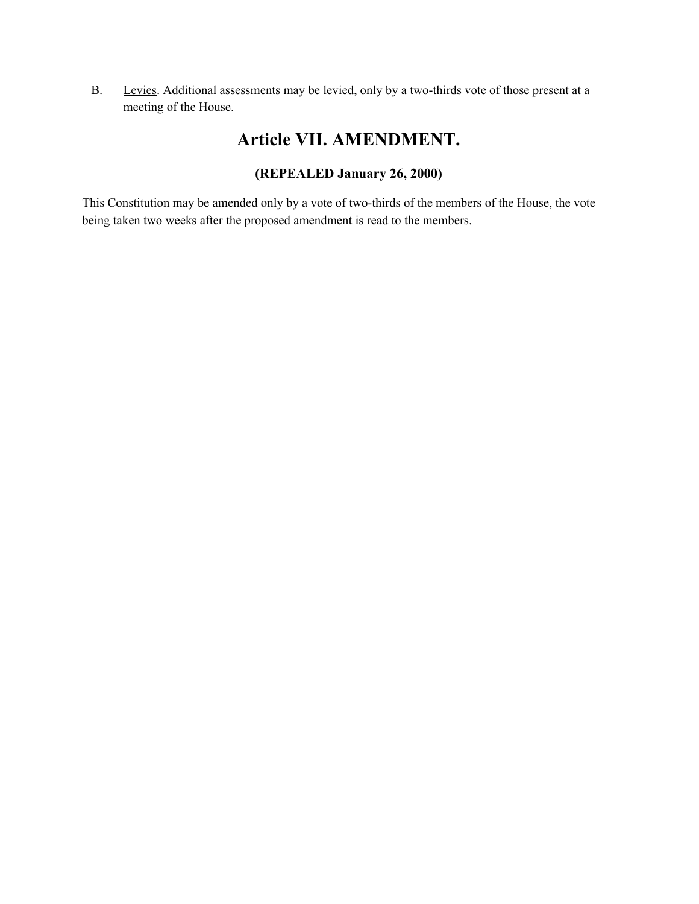B. Levies. Additional assessments may be levied, only by a two-thirds vote of those present at a meeting of the House.

### **Article VII. AMENDMENT.**

### **(REPEALED January 26, 2000)**

This Constitution may be amended only by a vote of two-thirds of the members of the House, the vote being taken two weeks after the proposed amendment is read to the members.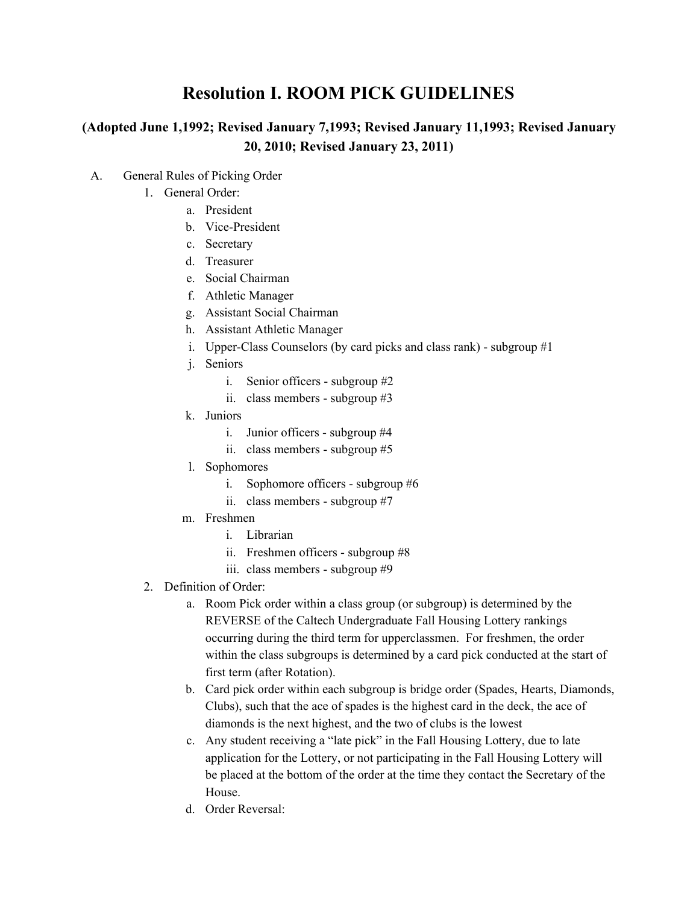## **Resolution I. ROOM PICK GUIDELINES**

### **(Adopted June 1,1992; Revised January 7,1993; Revised January 11,1993; Revised January 20, 2010; Revised January 23, 2011)**

- A. General Rules of Picking Order
	- 1. General Order:
		- a. President
		- b. Vice-President
		- c. Secretary
		- d. Treasurer
		- e. Social Chairman
		- f. Athletic Manager
		- g. Assistant Social Chairman
		- h. Assistant Athletic Manager
		- i. Upper-Class Counselors (by card picks and class rank) subgroup #1
		- j. Seniors
			- i. Senior officers subgroup #2
			- ii. class members subgroup #3
		- k. Juniors
			- i. Junior officers subgroup #4
			- ii. class members subgroup #5
		- l. Sophomores
			- i. Sophomore officers subgroup #6
			- ii. class members subgroup #7
		- m. Freshmen
			- i. Librarian
			- ii. Freshmen officers subgroup #8
			- iii. class members subgroup #9
	- 2. Definition of Order:
		- a. Room Pick order within a class group (or subgroup) is determined by the REVERSE of the Caltech Undergraduate Fall Housing Lottery rankings occurring during the third term for upperclassmen. For freshmen, the order within the class subgroups is determined by a card pick conducted at the start of first term (after Rotation).
		- b. Card pick order within each subgroup is bridge order (Spades, Hearts, Diamonds, Clubs), such that the ace of spades is the highest card in the deck, the ace of diamonds is the next highest, and the two of clubs is the lowest
		- c. Any student receiving a "late pick" in the Fall Housing Lottery, due to late application for the Lottery, or not participating in the Fall Housing Lottery will be placed at the bottom of the order at the time they contact the Secretary of the House.
		- d. Order Reversal: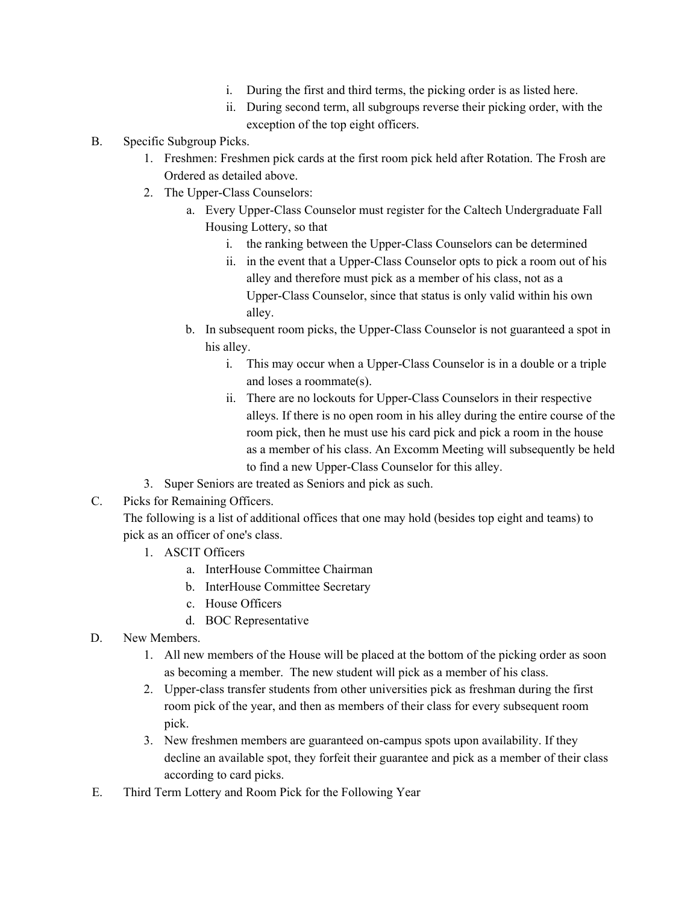- i. During the first and third terms, the picking order is as listed here.
- ii. During second term, all subgroups reverse their picking order, with the exception of the top eight officers.
- B. Specific Subgroup Picks.
	- 1. Freshmen: Freshmen pick cards at the first room pick held after Rotation. The Frosh are Ordered as detailed above.
	- 2. The Upper-Class Counselors:
		- a. Every Upper-Class Counselor must register for the Caltech Undergraduate Fall Housing Lottery, so that
			- i. the ranking between the Upper-Class Counselors can be determined
			- ii. in the event that a Upper-Class Counselor opts to pick a room out of his alley and therefore must pick as a member of his class, not as a Upper-Class Counselor, since that status is only valid within his own alley.
		- b. In subsequent room picks, the Upper-Class Counselor is not guaranteed a spot in his alley.
			- i. This may occur when a Upper-Class Counselor is in a double or a triple and loses a roommate(s).
			- ii. There are no lockouts for Upper-Class Counselors in their respective alleys. If there is no open room in his alley during the entire course of the room pick, then he must use his card pick and pick a room in the house as a member of his class. An Excomm Meeting will subsequently be held to find a new Upper-Class Counselor for this alley.
	- 3. Super Seniors are treated as Seniors and pick as such.
- C. Picks for Remaining Officers.

The following is a list of additional offices that one may hold (besides top eight and teams) to pick as an officer of one's class.

- 1. ASCIT Officers
	- a. InterHouse Committee Chairman
	- b. InterHouse Committee Secretary
	- c. House Officers
	- d. BOC Representative
- D. New Members.
	- 1. All new members of the House will be placed at the bottom of the picking order as soon as becoming a member. The new student will pick as a member of his class.
	- 2. Upper-class transfer students from other universities pick as freshman during the first room pick of the year, and then as members of their class for every subsequent room pick.
	- 3. New freshmen members are guaranteed on-campus spots upon availability. If they decline an available spot, they forfeit their guarantee and pick as a member of their class according to card picks.
- E. Third Term Lottery and Room Pick for the Following Year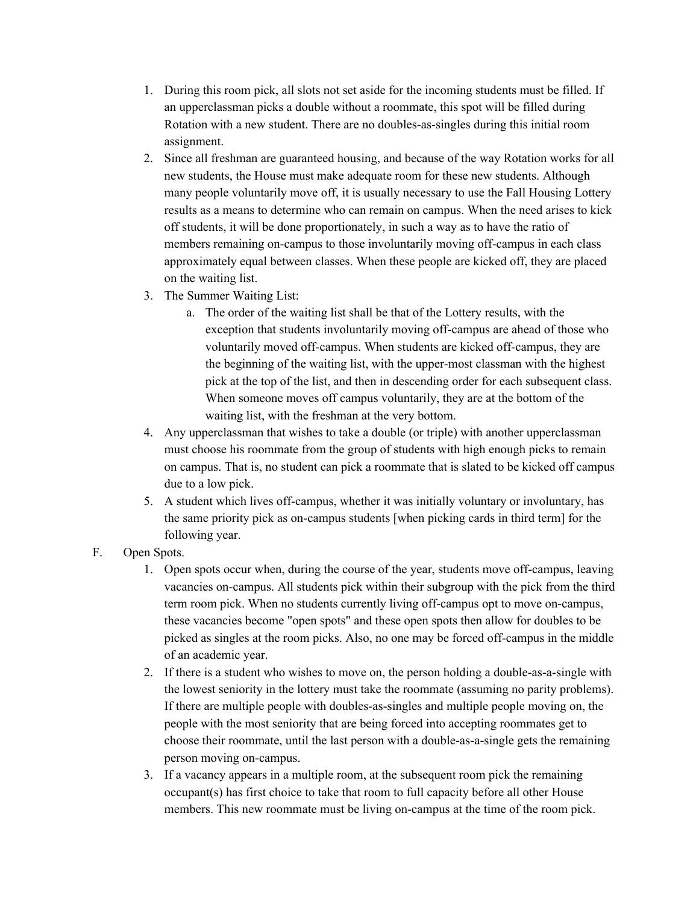- 1. During this room pick, all slots not set aside for the incoming students must be filled. If an upperclassman picks a double without a roommate, this spot will be filled during Rotation with a new student. There are no doubles-as-singles during this initial room assignment.
- 2. Since all freshman are guaranteed housing, and because of the way Rotation works for all new students, the House must make adequate room for these new students. Although many people voluntarily move off, it is usually necessary to use the Fall Housing Lottery results as a means to determine who can remain on campus. When the need arises to kick off students, it will be done proportionately, in such a way as to have the ratio of members remaining on-campus to those involuntarily moving off-campus in each class approximately equal between classes. When these people are kicked off, they are placed on the waiting list.
- 3. The Summer Waiting List:
	- a. The order of the waiting list shall be that of the Lottery results, with the exception that students involuntarily moving off-campus are ahead of those who voluntarily moved off-campus. When students are kicked off-campus, they are the beginning of the waiting list, with the upper-most classman with the highest pick at the top of the list, and then in descending order for each subsequent class. When someone moves off campus voluntarily, they are at the bottom of the waiting list, with the freshman at the very bottom.
- 4. Any upperclassman that wishes to take a double (or triple) with another upperclassman must choose his roommate from the group of students with high enough picks to remain on campus. That is, no student can pick a roommate that is slated to be kicked off campus due to a low pick.
- 5. A student which lives off-campus, whether it was initially voluntary or involuntary, has the same priority pick as on-campus students [when picking cards in third term] for the following year.

#### F. Open Spots.

- 1. Open spots occur when, during the course of the year, students move off-campus, leaving vacancies on-campus. All students pick within their subgroup with the pick from the third term room pick. When no students currently living off-campus opt to move on-campus, these vacancies become "open spots" and these open spots then allow for doubles to be picked as singles at the room picks. Also, no one may be forced off-campus in the middle of an academic year.
- 2. If there is a student who wishes to move on, the person holding a double-as-a-single with the lowest seniority in the lottery must take the roommate (assuming no parity problems). If there are multiple people with doubles-as-singles and multiple people moving on, the people with the most seniority that are being forced into accepting roommates get to choose their roommate, until the last person with a double-as-a-single gets the remaining person moving on-campus.
- 3. If a vacancy appears in a multiple room, at the subsequent room pick the remaining occupant(s) has first choice to take that room to full capacity before all other House members. This new roommate must be living on-campus at the time of the room pick.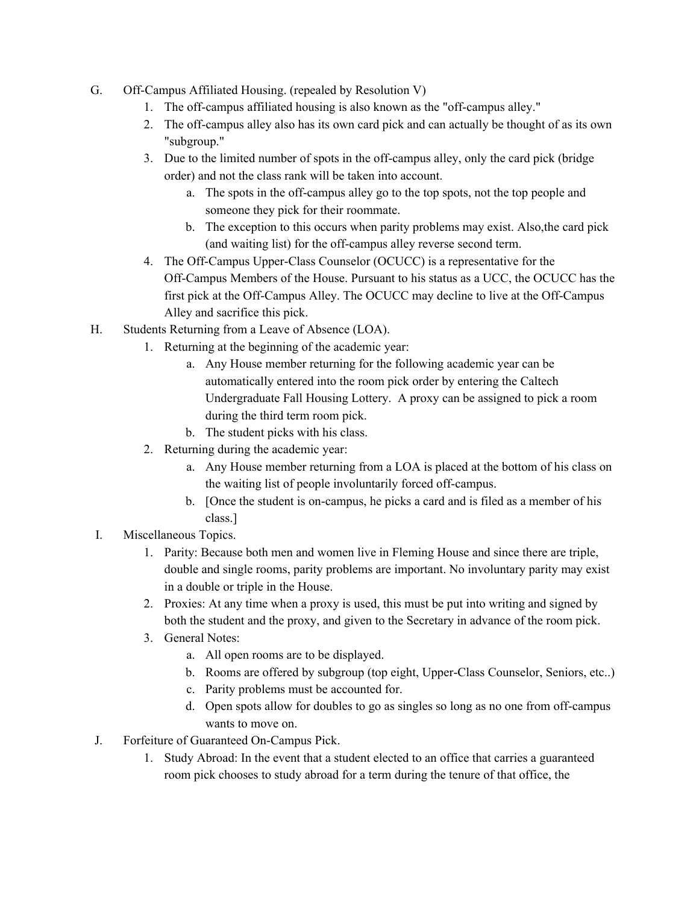- G. Off-Campus Affiliated Housing. (repealed by Resolution V)
	- 1. The off-campus affiliated housing is also known as the "off-campus alley."
	- 2. The off-campus alley also has its own card pick and can actually be thought of as its own "subgroup."
	- 3. Due to the limited number of spots in the off-campus alley, only the card pick (bridge order) and not the class rank will be taken into account.
		- a. The spots in the off-campus alley go to the top spots, not the top people and someone they pick for their roommate.
		- b. The exception to this occurs when parity problems may exist. Also,the card pick (and waiting list) for the off-campus alley reverse second term.
	- 4. The Off-Campus Upper-Class Counselor (OCUCC) is a representative for the Off-Campus Members of the House. Pursuant to his status as a UCC, the OCUCC has the first pick at the Off-Campus Alley. The OCUCC may decline to live at the Off-Campus Alley and sacrifice this pick.
- H. Students Returning from a Leave of Absence (LOA).
	- 1. Returning at the beginning of the academic year:
		- a. Any House member returning for the following academic year can be automatically entered into the room pick order by entering the Caltech Undergraduate Fall Housing Lottery. A proxy can be assigned to pick a room during the third term room pick.
		- b. The student picks with his class.
	- 2. Returning during the academic year:
		- a. Any House member returning from a LOA is placed at the bottom of his class on the waiting list of people involuntarily forced off-campus.
		- b. [Once the student is on-campus, he picks a card and is filed as a member of his class.]
- I. Miscellaneous Topics.
	- 1. Parity: Because both men and women live in Fleming House and since there are triple, double and single rooms, parity problems are important. No involuntary parity may exist in a double or triple in the House.
	- 2. Proxies: At any time when a proxy is used, this must be put into writing and signed by both the student and the proxy, and given to the Secretary in advance of the room pick.
	- 3. General Notes:
		- a. All open rooms are to be displayed.
		- b. Rooms are offered by subgroup (top eight, Upper-Class Counselor, Seniors, etc..)
		- c. Parity problems must be accounted for.
		- d. Open spots allow for doubles to go as singles so long as no one from off-campus wants to move on.
- J. Forfeiture of Guaranteed On-Campus Pick.
	- 1. Study Abroad: In the event that a student elected to an office that carries a guaranteed room pick chooses to study abroad for a term during the tenure of that office, the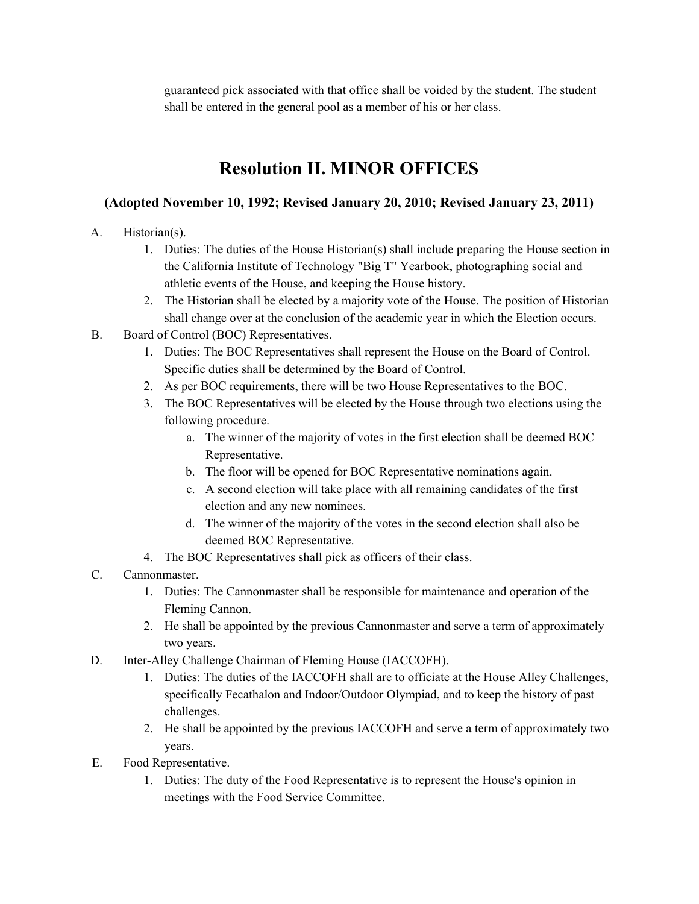guaranteed pick associated with that office shall be voided by the student. The student shall be entered in the general pool as a member of his or her class.

## **Resolution II. MINOR OFFICES**

### **(Adopted November 10, 1992; Revised January 20, 2010; Revised January 23, 2011)**

- A. Historian(s).
	- 1. Duties: The duties of the House Historian(s) shall include preparing the House section in the California Institute of Technology "Big T" Yearbook, photographing social and athletic events of the House, and keeping the House history.
	- 2. The Historian shall be elected by a majority vote of the House. The position of Historian shall change over at the conclusion of the academic year in which the Election occurs.
- B. Board of Control (BOC) Representatives.
	- 1. Duties: The BOC Representatives shall represent the House on the Board of Control. Specific duties shall be determined by the Board of Control.
	- 2. As per BOC requirements, there will be two House Representatives to the BOC.
	- 3. The BOC Representatives will be elected by the House through two elections using the following procedure.
		- a. The winner of the majority of votes in the first election shall be deemed BOC Representative.
		- b. The floor will be opened for BOC Representative nominations again.
		- c. A second election will take place with all remaining candidates of the first election and any new nominees.
		- d. The winner of the majority of the votes in the second election shall also be deemed BOC Representative.
	- 4. The BOC Representatives shall pick as officers of their class.
- C. Cannonmaster.
	- 1. Duties: The Cannonmaster shall be responsible for maintenance and operation of the Fleming Cannon.
	- 2. He shall be appointed by the previous Cannonmaster and serve a term of approximately two years.
- D. Inter-Alley Challenge Chairman of Fleming House (IACCOFH).
	- 1. Duties: The duties of the IACCOFH shall are to officiate at the House Alley Challenges, specifically Fecathalon and Indoor/Outdoor Olympiad, and to keep the history of past challenges.
	- 2. He shall be appointed by the previous IACCOFH and serve a term of approximately two years.
- E. Food Representative.
	- 1. Duties: The duty of the Food Representative is to represent the House's opinion in meetings with the Food Service Committee.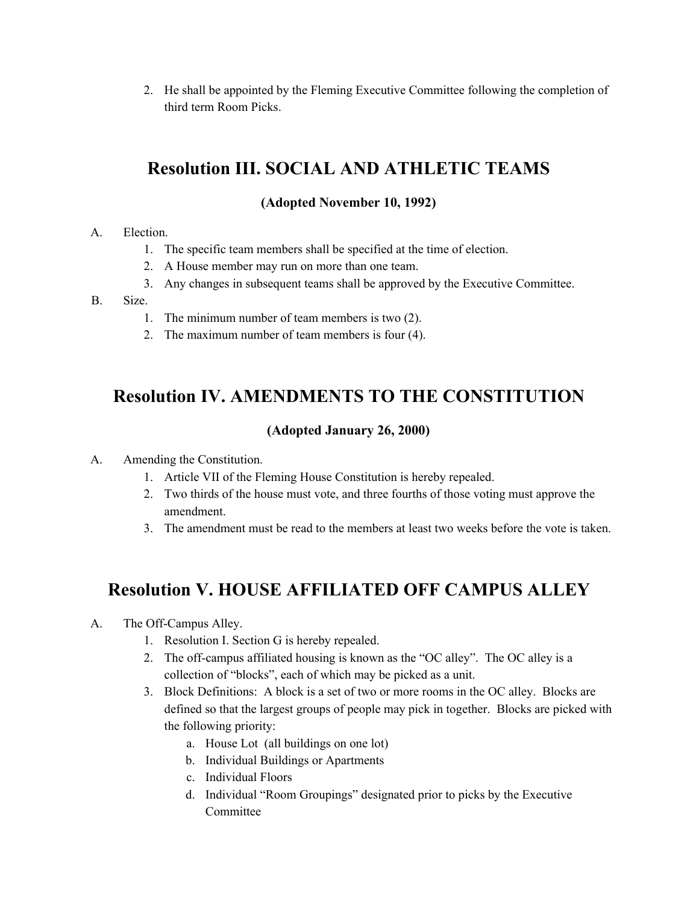2. He shall be appointed by the Fleming Executive Committee following the completion of third term Room Picks.

# **Resolution III. SOCIAL AND ATHLETIC TEAMS**

### **(Adopted November 10, 1992)**

#### A. Election.

- 1. The specific team members shall be specified at the time of election.
- 2. A House member may run on more than one team.
- 3. Any changes in subsequent teams shall be approved by the Executive Committee.

#### B. Size.

- 1. The minimum number of team members is two (2).
- 2. The maximum number of team members is four (4).

### **Resolution IV. AMENDMENTS TO THE CONSTITUTION**

### **(Adopted January 26, 2000)**

- A. Amending the Constitution.
	- 1. Article VII of the Fleming House Constitution is hereby repealed.
	- 2. Two thirds of the house must vote, and three fourths of those voting must approve the amendment.
	- 3. The amendment must be read to the members at least two weeks before the vote is taken.

### **Resolution V. HOUSE AFFILIATED OFF CAMPUS ALLEY**

- A. The Off-Campus Alley.
	- 1. Resolution I. Section G is hereby repealed.
	- 2. The off-campus affiliated housing is known as the "OC alley". The OC alley is a collection of "blocks", each of which may be picked as a unit.
	- 3. Block Definitions: A block is a set of two or more rooms in the OC alley. Blocks are defined so that the largest groups of people may pick in together. Blocks are picked with the following priority:
		- a. House Lot (all buildings on one lot)
		- b. Individual Buildings or Apartments
		- c. Individual Floors
		- d. Individual "Room Groupings" designated prior to picks by the Executive **Committee**